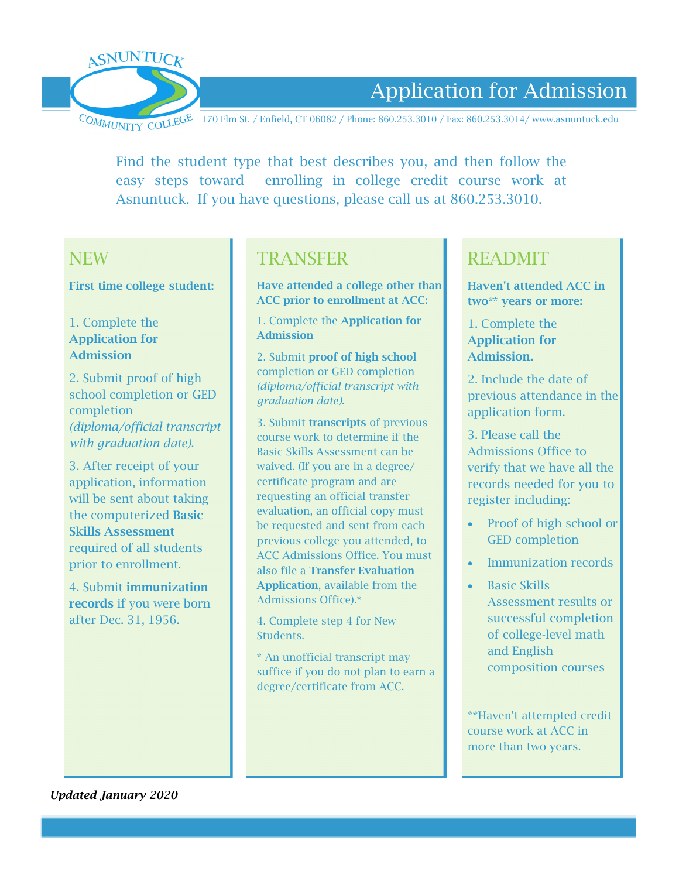

# Application for Admission

COMMUNITY COLLEGE 170 Elm St. / Enfield, CT 06082 / Phone: 860.253.3010 / Fax: 860.253.3014/ www.asnuntuck.edu

Find the student type that best describes you, and then follow the easy steps toward enrolling in college credit course work at Asnuntuck. If you have questions, please call us at 860.253.3010.

# **NFW**

First time college student:

#### 1. Complete the Application for Admission

2. Submit proof of high school completion or GED completion *(diploma/official transcript with graduation date).*

3. After receipt of your application, information will be sent about taking the computerized Basic Skills Assessment required of all students prior to enrollment.

4. Submit immunization records if you were born after Dec. 31, 1956.

# TRANSFER

Have attended a college other than ACC prior to enrollment at ACC:

1. Complete the Application for Admission

2. Submit proof of high school completion or GED completion *(diploma/official transcript with graduation date).*

3. Submit transcripts of previous course work to determine if the Basic Skills Assessment can be waived. (If you are in a degree/ certificate program and are requesting an official transfer evaluation, an official copy must be requested and sent from each previous college you attended, to ACC Admissions Office. You must also file a Transfer Evaluation Application, available from the Admissions Office).\*

4. Complete step 4 for New Students.

\* An unofficial transcript may suffice if you do not plan to earn a degree/certificate from ACC.

# READMIT

Haven't attended ACC in two\*\* years or more:

1. Complete the Application for Admission.

2. Include the date of previous attendance in the application form.

3. Please call the Admissions Office to verify that we have all the records needed for you to register including:

- Proof of high school or GED completion
- Immunization records
- Basic Skills Assessment results or successful completion of college-level math and English composition courses

\*\*Haven't attempted credit course work at ACC in more than two years.

*Updated January 2020*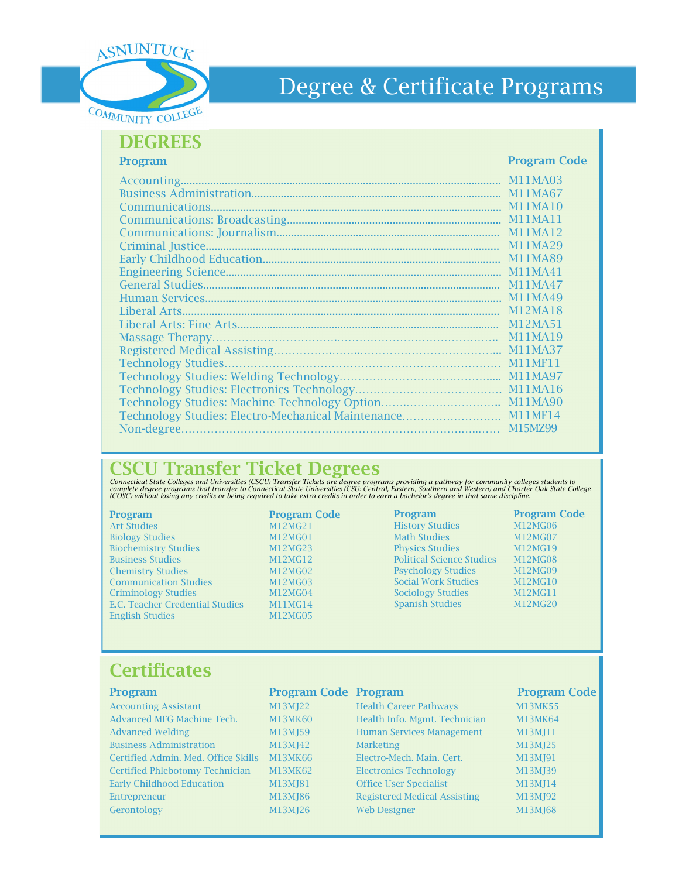

# Degree & Certificate Programs

### **DEGREES**

Program

#### Program Code

|            | <b>M11MA03</b>                               |
|------------|----------------------------------------------|
|            | M11MA67                                      |
|            | M <sub>1</sub> 1M <sub>A</sub> <sub>10</sub> |
|            | M11MA11                                      |
|            | M11MA12                                      |
|            | M11MA29                                      |
|            | M11MA89                                      |
|            | M11MA41                                      |
|            | M11MA47                                      |
|            | M11MA49                                      |
|            | M12MA18                                      |
|            | M12MA51                                      |
|            | M11MA19                                      |
|            | M11MA37                                      |
|            | <b>M11MF11</b>                               |
|            | M11MA97                                      |
|            | M <sub>1</sub> 1M <sub>A</sub> <sub>16</sub> |
|            | M11MA90                                      |
|            |                                              |
| Non-degree | M15MZ99                                      |

## CSCU Transfer Ticket Degrees

Connecticut State Colleges and Universities (CSCU) Transfer Tickets are degree programs providing a pathway for community colleges students to<br>complete degree programs that transfer to Connecticut State Universities (CSU:

Art Studies M12MG21<br>Biology Studies M12MG01 Biology Studies M12MG01<br>Biochemistry Studies M12MG23 Biochemistry Studies Business Studies M12MG12 Chemistry Studies M12MG02 Communication Studies M12MG03 Criminology Studies M12MG04<br>E.C. Teacher Credential Studies M11MG14 E.C. Teacher Credential Studies M11MG14<br>English Studies M12MG05 English Studies

# Program **Program Code**

#### Program Program Code History Studies M12MG06<br>Math Studies M12MG07 Math Studies M12MG07<br>Physics Studies M12MG19 Physics Studies Political Science Studies M12MG08 Psychology Studies M12MG09 Social Work Studies M12MG10 Sociology Studies M12MG11<br>Spanish Studies M12MG20 Spanish Studies

# **Certificates**

| Program                             | <b>Program Code Program</b> |                                     | <b>Program Code</b> |
|-------------------------------------|-----------------------------|-------------------------------------|---------------------|
| <b>Accounting Assistant</b>         | M13MJ22                     | <b>Health Career Pathways</b>       | <b>M13MK55</b>      |
| Advanced MFG Machine Tech.          | <b>M13MK60</b>              | Health Info. Mgmt. Technician       | <b>M13MK64</b>      |
| <b>Advanced Welding</b>             | M13MJ59                     | <b>Human Services Management</b>    | M13MJ11             |
| <b>Business Administration</b>      | M13MJ42                     | <b>Marketing</b>                    | M13MJ25             |
| Certified Admin. Med. Office Skills | M13MK66                     | Electro-Mech. Main. Cert.           | M13MJ91             |
| Certified Phlebotomy Technician     | <b>M13MK62</b>              | <b>Electronics Technology</b>       | M13MJ39             |
| <b>Early Childhood Education</b>    | M13MJ81                     | <b>Office User Specialist</b>       | M13MJ14             |
| Entrepreneur                        | M13MJ86                     | <b>Registered Medical Assisting</b> | M13MJ92             |
| Gerontology                         | M13MJ26                     | <b>Web Designer</b>                 | M13MJ68             |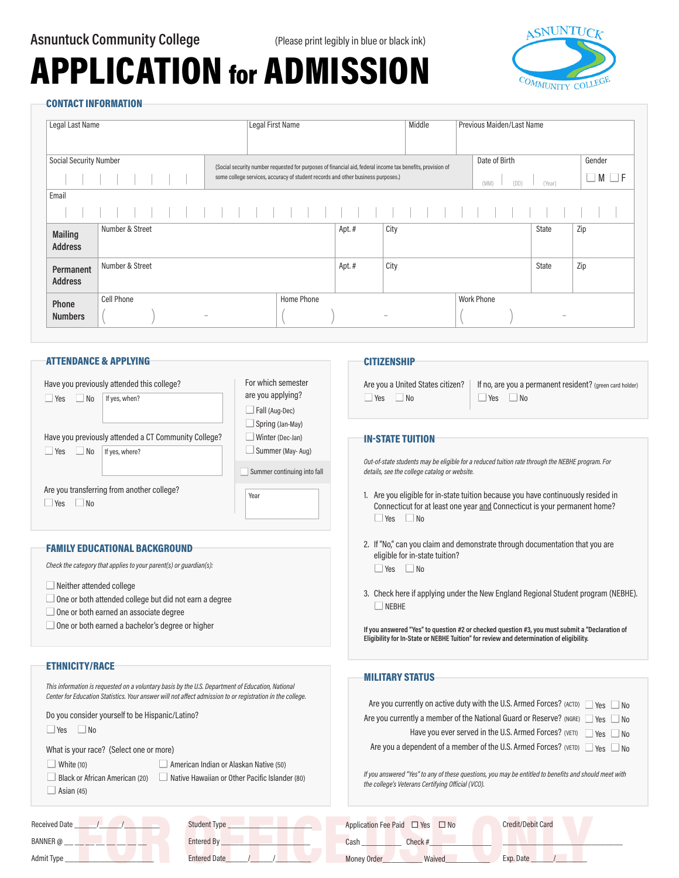# APPLICATION for ADMISSION



#### CONTACT INFORMATION

| Legal Last Name                  |                                        | Legal First Name                                                                                                                                                                               |       | Middle | Previous Maiden/Last Name     |                   |                     |
|----------------------------------|----------------------------------------|------------------------------------------------------------------------------------------------------------------------------------------------------------------------------------------------|-------|--------|-------------------------------|-------------------|---------------------|
| <b>Social Security Number</b>    |                                        | (Social security number requested for purposes of financial aid, federal income tax benefits, provision of<br>some college services, accuracy of student records and other business purposes.) |       |        | Date of Birth<br>(DD)<br>(MM) | (Year)            | Gender<br>M<br>l IF |
| Email                            |                                        |                                                                                                                                                                                                |       |        |                               |                   |                     |
| <b>Mailing</b><br><b>Address</b> | Number & Street                        |                                                                                                                                                                                                | Apt.# | City   |                               | State             | Zip                 |
| Permanent<br><b>Address</b>      | Number & Street                        |                                                                                                                                                                                                | Apt.# | City   |                               | State             | Zip                 |
| Phone<br><b>Numbers</b>          | Cell Phone<br>$\overline{\phantom{a}}$ | Home Phone                                                                                                                                                                                     |       |        | <b>Work Phone</b>             | $\hspace{0.05cm}$ |                     |

#### ATTENDANCE & APPLYING

|           | Have you previously attended this college?           | For which semester                  |
|-----------|------------------------------------------------------|-------------------------------------|
| Yes<br>No | If yes, when?                                        | are you applying?<br>Fall (Aug-Dec) |
|           |                                                      | Spring (Jan-May)                    |
|           | Have you previously attended a CT Community College? | Winter (Dec-Jan)                    |
| Yes<br>No | If yes, where?                                       | Summer (May-Aug)                    |
|           |                                                      | Summer continuing into fall         |
| Yes<br>No | Are you transferring from another college?           | Year                                |

#### FAMILY EDUCATIONAL BACKGROUND

*Check the category that applies to your parent(s) or guardian(s):* 

- $\Box$  Neither attended college
- $\Box$  One or both attended college but did not earn a degree
- $\Box$  One or both earned an associate degree
- $\Box$  One or both earned a bachelor's degree or higher

#### ETHNICITY/RACE

*This information is requested on a voluntary basis by the U.S. Department of Education, National Center for Education Statistics. Your answer will not affect admission to or registration in the college.*

Do you consider yourself to be Hispanic/Latino?

 $\Box$  Yes  $\Box$  No

 $\Box$  White (10)

What is your race? (Select one or more)

| American Indian or Alaskan Native (50) |
|----------------------------------------|
|----------------------------------------|

 $\Box$  Asian (45)

 $\Box$  Black or African American (20)  $\Box$  Native Hawaiian or Other Pacific Islander (80)

| <b>Received Date</b> | Student Type        | Application Fee Paid □ Yes □ No | <b>Credit/Debit Card</b> |
|----------------------|---------------------|---------------------------------|--------------------------|
| BANNER @             | Entered By          | Check#<br>Cash                  |                          |
| Admit Type           | <b>Entered Date</b> | Waived<br><b>Money Order</b>    | Exp. Date                |
|                      |                     |                                 |                          |

#### **CITIZENSHIP**

 $\Box$  Yes  $\Box$  No

Are you a United States citizen? | If no, are you a permanent resident? (green card holder)  $\Box$  Yes  $\Box$  No

#### IN-STATE TUITION

*Out-of-state students may be eligible for a reduced tuition rate through the NEBHE program. For details, see the college catalog or website.*

- 1. Are you eligible for in-state tuition because you have continuously resided in Connecticut for at least one year and Connecticut is your permanent home?  $\Box$  Yes  $\Box$  No
- 2. If "No," can you claim and demonstrate through documentation that you are eligible for in-state tuition?  $\Box$  Yes  $\Box$  No

3. Check here if applying under the New England Regional Student program (NEBHE).  $\Box$  NEBHE

**If you answered "Yes" to question #2 or checked question #3, you must submit a "Declaration of Eligibility for In-State or NEBHE Tuition" for review and determination of eligibility.**

#### MILITARY STATUS

| Are you currently on active duty with the U.S. Armed Forces? (ACTD) $\Box$ Yes $\Box$ No                                                                   |
|------------------------------------------------------------------------------------------------------------------------------------------------------------|
| Are you currently a member of the National Guard or Reserve? (NGRE) $\Box$ Yes<br>N <sub>0</sub>                                                           |
| Have you ever served in the U.S. Armed Forces? (VETI)<br>l Yes<br>  No                                                                                     |
| Are you a dependent of a member of the U.S. Armed Forces? (VETD)<br>Yes  <br>  No                                                                          |
| If you answered "Yes" to any of these questions, you may be entitled to benefits and should meet with<br>the college's Veterans Certifying Official (VCO). |
|                                                                                                                                                            |

 $\blacksquare$  .  $\blacksquare$  .  $\blacksquare$  .  $\blacksquare$  .  $\blacksquare$  .  $\blacksquare$